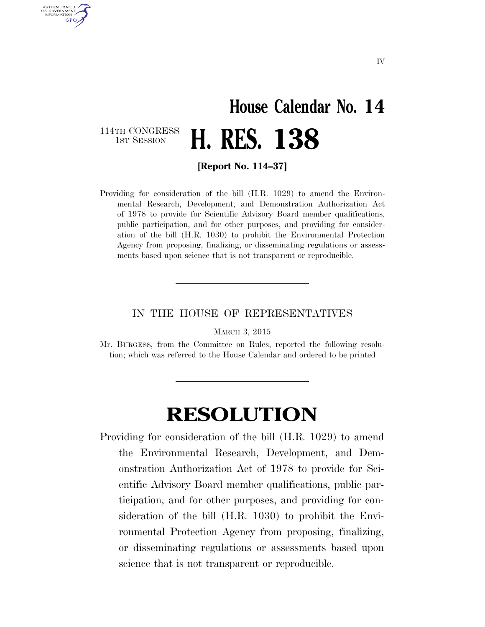### **House Calendar No. 14**  1ST SESSION **H. RES. 138**

114TH CONGRESS<br>1st Session

AUTHENTICATED U.S. GOVERNMENT **GPO** 

**[Report No. 114–37]** 

Providing for consideration of the bill (H.R. 1029) to amend the Environmental Research, Development, and Demonstration Authorization Act of 1978 to provide for Scientific Advisory Board member qualifications, public participation, and for other purposes, and providing for consideration of the bill (H.R. 1030) to prohibit the Environmental Protection Agency from proposing, finalizing, or disseminating regulations or assessments based upon science that is not transparent or reproducible.

#### IN THE HOUSE OF REPRESENTATIVES

MARCH 3, 2015

Mr. BURGESS, from the Committee on Rules, reported the following resolution; which was referred to the House Calendar and ordered to be printed

### **RESOLUTION**

Providing for consideration of the bill (H.R. 1029) to amend the Environmental Research, Development, and Demonstration Authorization Act of 1978 to provide for Scientific Advisory Board member qualifications, public participation, and for other purposes, and providing for consideration of the bill (H.R. 1030) to prohibit the Environmental Protection Agency from proposing, finalizing, or disseminating regulations or assessments based upon science that is not transparent or reproducible.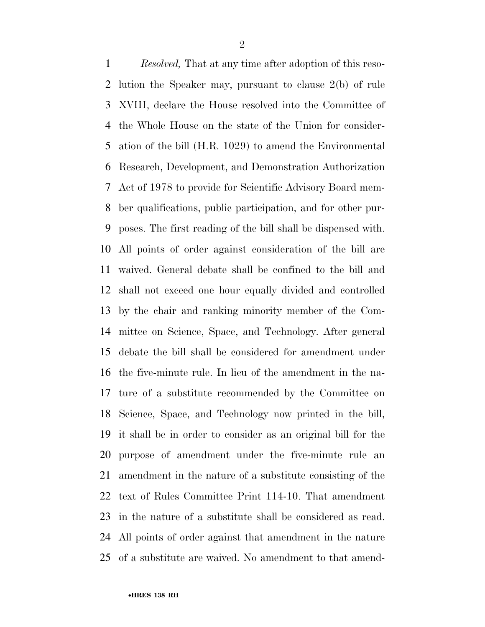*Resolved,* That at any time after adoption of this reso- lution the Speaker may, pursuant to clause 2(b) of rule XVIII, declare the House resolved into the Committee of the Whole House on the state of the Union for consider- ation of the bill (H.R. 1029) to amend the Environmental Research, Development, and Demonstration Authorization Act of 1978 to provide for Scientific Advisory Board mem- ber qualifications, public participation, and for other pur- poses. The first reading of the bill shall be dispensed with. All points of order against consideration of the bill are waived. General debate shall be confined to the bill and shall not exceed one hour equally divided and controlled by the chair and ranking minority member of the Com- mittee on Science, Space, and Technology. After general debate the bill shall be considered for amendment under the five-minute rule. In lieu of the amendment in the na- ture of a substitute recommended by the Committee on Science, Space, and Technology now printed in the bill, it shall be in order to consider as an original bill for the purpose of amendment under the five-minute rule an amendment in the nature of a substitute consisting of the text of Rules Committee Print 114-10. That amendment in the nature of a substitute shall be considered as read. All points of order against that amendment in the nature of a substitute are waived. No amendment to that amend-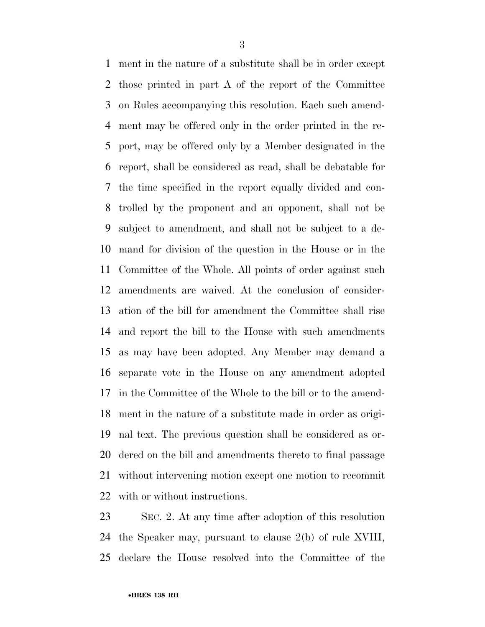ment in the nature of a substitute shall be in order except those printed in part A of the report of the Committee on Rules accompanying this resolution. Each such amend- ment may be offered only in the order printed in the re- port, may be offered only by a Member designated in the report, shall be considered as read, shall be debatable for the time specified in the report equally divided and con- trolled by the proponent and an opponent, shall not be subject to amendment, and shall not be subject to a de- mand for division of the question in the House or in the Committee of the Whole. All points of order against such amendments are waived. At the conclusion of consider- ation of the bill for amendment the Committee shall rise and report the bill to the House with such amendments as may have been adopted. Any Member may demand a separate vote in the House on any amendment adopted in the Committee of the Whole to the bill or to the amend- ment in the nature of a substitute made in order as origi- nal text. The previous question shall be considered as or- dered on the bill and amendments thereto to final passage without intervening motion except one motion to recommit with or without instructions.

 SEC. 2. At any time after adoption of this resolution the Speaker may, pursuant to clause 2(b) of rule XVIII, declare the House resolved into the Committee of the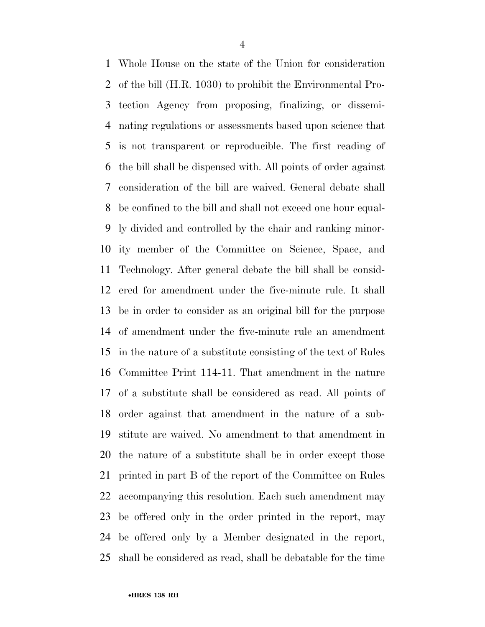Whole House on the state of the Union for consideration of the bill (H.R. 1030) to prohibit the Environmental Pro- tection Agency from proposing, finalizing, or dissemi- nating regulations or assessments based upon science that is not transparent or reproducible. The first reading of the bill shall be dispensed with. All points of order against consideration of the bill are waived. General debate shall be confined to the bill and shall not exceed one hour equal- ly divided and controlled by the chair and ranking minor- ity member of the Committee on Science, Space, and Technology. After general debate the bill shall be consid- ered for amendment under the five-minute rule. It shall be in order to consider as an original bill for the purpose of amendment under the five-minute rule an amendment in the nature of a substitute consisting of the text of Rules Committee Print 114-11. That amendment in the nature of a substitute shall be considered as read. All points of order against that amendment in the nature of a sub- stitute are waived. No amendment to that amendment in the nature of a substitute shall be in order except those printed in part B of the report of the Committee on Rules accompanying this resolution. Each such amendment may be offered only in the order printed in the report, may be offered only by a Member designated in the report, shall be considered as read, shall be debatable for the time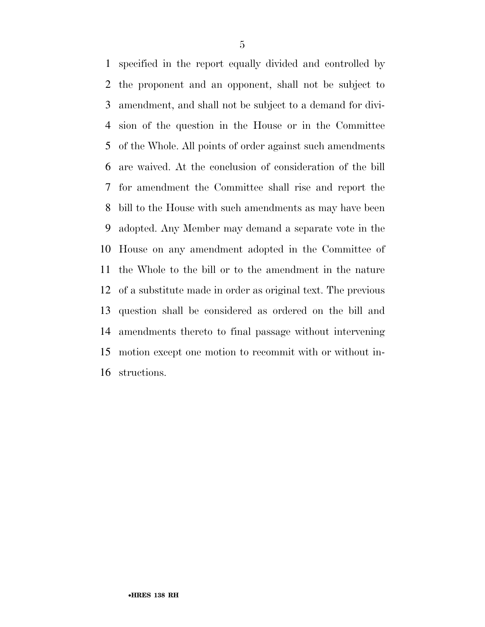specified in the report equally divided and controlled by the proponent and an opponent, shall not be subject to amendment, and shall not be subject to a demand for divi- sion of the question in the House or in the Committee of the Whole. All points of order against such amendments are waived. At the conclusion of consideration of the bill for amendment the Committee shall rise and report the bill to the House with such amendments as may have been adopted. Any Member may demand a separate vote in the House on any amendment adopted in the Committee of the Whole to the bill or to the amendment in the nature of a substitute made in order as original text. The previous question shall be considered as ordered on the bill and amendments thereto to final passage without intervening motion except one motion to recommit with or without in-structions.